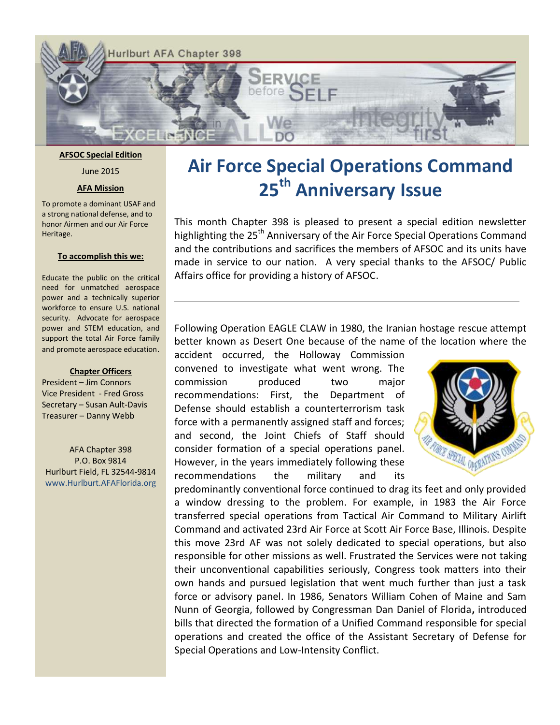

#### **AFSOC Special Edition**

June 2015

#### **AFA Mission**

To promote a dominant USAF and a strong national defense, and to honor Airmen and our Air Force Heritage.

#### **To accomplish this we:**

Educate the public on the critical need for unmatched aerospace power and a technically superior workforce to ensure U.S. national security. Advocate for aerospace power and STEM education, and support the total Air Force family and promote aerospace education.

#### **Chapter Officers**

President – Jim Connors Vice President - Fred Gross Secretary – Susan Ault-Davis Treasurer – Danny Webb

AFA Chapter 398 P.O. Box 9814 Hurlburt Field, FL 32544-9814 www.Hurlburt.AFAFlorida.org

# **Air Force Special Operations Command 25th Anniversary Issue**

This month Chapter 398 is pleased to present a special edition newsletter highlighting the 25<sup>th</sup> Anniversary of the Air Force Special Operations Command and the contributions and sacrifices the members of AFSOC and its units have made in service to our nation. A very special thanks to the AFSOC/ Public Affairs office for providing a history of AFSOC.

Following Operation EAGLE CLAW in 1980, the Iranian hostage rescue attempt better known as Desert One because of the name of the location where the

accident occurred, the Holloway Commission convened to investigate what went wrong. The commission produced two major recommendations: First, the Department of Defense should establish a counterterrorism task force with a permanently assigned staff and forces; and second, the Joint Chiefs of Staff should consider formation of a special operations panel. However, in the years immediately following these recommendations the military and its



predominantly conventional force continued to drag its feet and only provided a window dressing to the problem. For example, in 1983 the Air Force transferred special operations from Tactical Air Command to Military Airlift Command and activated 23rd Air Force at Scott Air Force Base, Illinois. Despite this move 23rd AF was not solely dedicated to special operations, but also responsible for other missions as well. Frustrated the Services were not taking their unconventional capabilities seriously, Congress took matters into their own hands and pursued legislation that went much further than just a task force or advisory panel. In 1986, Senators William Cohen of Maine and Sam Nunn of Georgia, followed by Congressman Dan Daniel of Florida**,** introduced bills that directed the formation of a Unified Command responsible for special operations and created the office of the Assistant Secretary of Defense for Special Operations and Low-Intensity Conflict.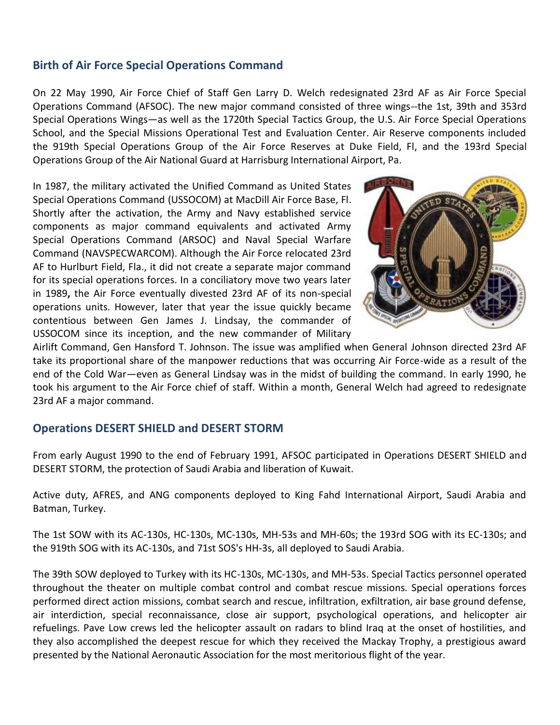#### **Birth of Air Force Special Operations Command**

On 22 May 1990, Air Force Chief of Staff Gen Larry D. Welch redesignated 23rd AF as Air Force Special Operations Command (AFSOC). The new major command consisted of three wings--the 1st, 39th and 353rd Special Operations Wings—as well as the 1720th Special Tactics Group, the U.S. Air Force Special Operations School, and the Special Missions Operational Test and Evaluation Center. Air Reserve components included the 919th Special Operations Group of the Air Force Reserves at Duke Field, Fl, and the 193rd Special Operations Group of the Air National Guard at Harrisburg International Airport, Pa.

In 1987, the military activated the Unified Command as United States Special Operations Command (USSOCOM) at MacDill Air Force Base, Fl. Shortly after the activation, the Army and Navy established service components as major command equivalents and activated Army Special Operations Command (ARSOC) and Naval Special Warfare Command (NAVSPECWARCOM). Although the Air Force relocated 23rd AF to Hurlburt Field, Fla., it did not create a separate major command for its special operations forces. In a conciliatory move two years later in 1989**,** the Air Force eventually divested 23rd AF of its non-special operations units. However, later that year the issue quickly became contentious between Gen James J. Lindsay, the commander of USSOCOM since its inception, and the new commander of Military



Airlift Command, Gen Hansford T. Johnson. The issue was amplified when General Johnson directed 23rd AF take its proportional share of the manpower reductions that was occurring Air Force-wide as a result of the end of the Cold War—even as General Lindsay was in the midst of building the command. In early 1990, he took his argument to the Air Force chief of staff. Within a month, General Welch had agreed to redesignate 23rd AF a major command.

#### **Operations DESERT SHIELD and DESERT STORM**

From early August 1990 to the end of February 1991, AFSOC participated in Operations DESERT SHIELD and DESERT STORM, the protection of Saudi Arabia and liberation of Kuwait.

Active duty, AFRES, and ANG components deployed to King Fahd International Airport, Saudi Arabia and Batman, Turkey.

The 1st SOW with its AC-130s, HC-130s, MC-130s, MH-53s and MH-60s; the 193rd SOG with its EC-130s; and the 919th SOG with its AC-130s, and 71st SOS's HH-3s, all deployed to Saudi Arabia.

The 39th SOW deployed to Turkey with its HC-130s, MC-130s, and MH-53s. Special Tactics personnel operated throughout the theater on multiple combat control and combat rescue missions. Special operations forces performed direct action missions, combat search and rescue, infiltration, exfiltration, air base ground defense, air interdiction, special reconnaissance, close air support, psychological operations, and helicopter air refuelings. Pave Low crews led the helicopter assault on radars to blind Iraq at the onset of hostilities, and they also accomplished the deepest rescue for which they received the Mackay Trophy, a prestigious award presented by the National Aeronautic Association for the most meritorious flight of the year.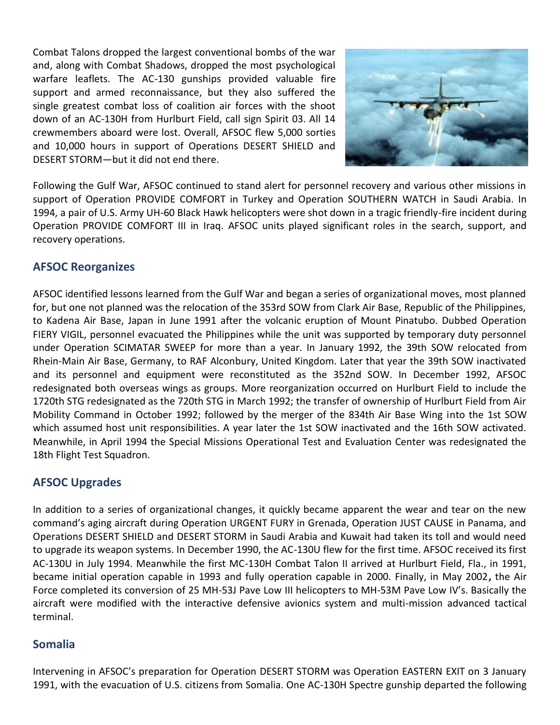Combat Talons dropped the largest conventional bombs of the war and, along with Combat Shadows, dropped the most psychological warfare leaflets. The AC-130 gunships provided valuable fire support and armed reconnaissance, but they also suffered the single greatest combat loss of coalition air forces with the shoot down of an AC-130H from Hurlburt Field, call sign Spirit 03. All 14 crewmembers aboard were lost. Overall, AFSOC flew 5,000 sorties and 10,000 hours in support of Operations DESERT SHIELD and DESERT STORM—but it did not end there.



Following the Gulf War, AFSOC continued to stand alert for personnel recovery and various other missions in support of Operation PROVIDE COMFORT in Turkey and Operation SOUTHERN WATCH in Saudi Arabia. In 1994, a pair of U.S. Army UH-60 Black Hawk helicopters were shot down in a tragic friendly-fire incident during Operation PROVIDE COMFORT III in Iraq. AFSOC units played significant roles in the search, support, and recovery operations.

# **AFSOC Reorganizes**

AFSOC identified lessons learned from the Gulf War and began a series of organizational moves, most planned for, but one not planned was the relocation of the 353rd SOW from Clark Air Base, Republic of the Philippines, to Kadena Air Base, Japan in June 1991 after the volcanic eruption of Mount Pinatubo. Dubbed Operation FIERY VIGIL, personnel evacuated the Philippines while the unit was supported by temporary duty personnel under Operation SCIMATAR SWEEP for more than a year. In January 1992, the 39th SOW relocated from Rhein-Main Air Base, Germany, to RAF Alconbury, United Kingdom. Later that year the 39th SOW inactivated and its personnel and equipment were reconstituted as the 352nd SOW. In December 1992, AFSOC redesignated both overseas wings as groups. More reorganization occurred on Hurlburt Field to include the 1720th STG redesignated as the 720th STG in March 1992; the transfer of ownership of Hurlburt Field from Air Mobility Command in October 1992; followed by the merger of the 834th Air Base Wing into the 1st SOW which assumed host unit responsibilities. A year later the 1st SOW inactivated and the 16th SOW activated. Meanwhile, in April 1994 the Special Missions Operational Test and Evaluation Center was redesignated the 18th Flight Test Squadron.

# **AFSOC Upgrades**

In addition to a series of organizational changes, it quickly became apparent the wear and tear on the new command's aging aircraft during Operation URGENT FURY in Grenada, Operation JUST CAUSE in Panama, and Operations DESERT SHIELD and DESERT STORM in Saudi Arabia and Kuwait had taken its toll and would need to upgrade its weapon systems. In December 1990, the AC-130U flew for the first time. AFSOC received its first AC-130U in July 1994. Meanwhile the first MC-130H Combat Talon II arrived at Hurlburt Field, Fla., in 1991, became initial operation capable in 1993 and fully operation capable in 2000. Finally, in May 2002**,** the Air Force completed its conversion of 25 MH-53J Pave Low III helicopters to MH-53M Pave Low IV's. Basically the aircraft were modified with the interactive defensive avionics system and multi-mission advanced tactical terminal.

#### **Somalia**

Intervening in AFSOC's preparation for Operation DESERT STORM was Operation EASTERN EXIT on 3 January 1991, with the evacuation of U.S. citizens from Somalia. One AC-130H Spectre gunship departed the following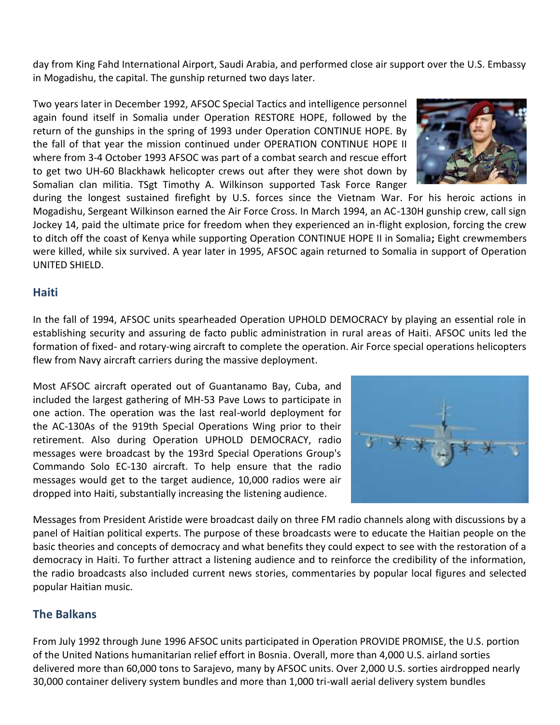day from King Fahd International Airport, Saudi Arabia, and performed close air support over the U.S. Embassy in Mogadishu, the capital. The gunship returned two days later.

Two years later in December 1992, AFSOC Special Tactics and intelligence personnel again found itself in Somalia under Operation RESTORE HOPE, followed by the return of the gunships in the spring of 1993 under Operation CONTINUE HOPE. By the fall of that year the mission continued under OPERATION CONTINUE HOPE II where from 3-4 October 1993 AFSOC was part of a combat search and rescue effort to get two UH-60 Blackhawk helicopter crews out after they were shot down by Somalian clan militia. TSgt Timothy A. Wilkinson supported Task Force Ranger

during the longest sustained firefight by U.S. forces since the Vietnam War. For his heroic actions in Mogadishu, Sergeant Wilkinson earned the Air Force Cross. In March 1994, an AC-130H gunship crew, call sign Jockey 14, paid the ultimate price for freedom when they experienced an in-flight explosion, forcing the crew to ditch off the coast of Kenya while supporting Operation CONTINUE HOPE II in Somalia**;** Eight crewmembers were killed, while six survived. A year later in 1995, AFSOC again returned to Somalia in support of Operation UNITED SHIELD.

# **Haiti**

In the fall of 1994, AFSOC units spearheaded Operation UPHOLD DEMOCRACY by playing an essential role in establishing security and assuring de facto public administration in rural areas of Haiti. AFSOC units led the formation of fixed- and rotary-wing aircraft to complete the operation. Air Force special operations helicopters flew from Navy aircraft carriers during the massive deployment.

Most AFSOC aircraft operated out of Guantanamo Bay, Cuba, and included the largest gathering of MH-53 Pave Lows to participate in one action. The operation was the last real-world deployment for the AC-130As of the 919th Special Operations Wing prior to their retirement. Also during Operation UPHOLD DEMOCRACY, radio messages were broadcast by the 193rd Special Operations Group's Commando Solo EC-130 aircraft. To help ensure that the radio messages would get to the target audience, 10,000 radios were air dropped into Haiti, substantially increasing the listening audience.

Messages from President Aristide were broadcast daily on three FM radio channels along with discussions by a panel of Haitian political experts. The purpose of these broadcasts were to educate the Haitian people on the basic theories and concepts of democracy and what benefits they could expect to see with the restoration of a democracy in Haiti. To further attract a listening audience and to reinforce the credibility of the information, the radio broadcasts also included current news stories, commentaries by popular local figures and selected popular Haitian music.

# **The Balkans**

From July 1992 through June 1996 AFSOC units participated in Operation PROVIDE PROMISE, the U.S. portion of the United Nations humanitarian relief effort in Bosnia. Overall, more than 4,000 U.S. airland sorties delivered more than 60,000 tons to Sarajevo, many by AFSOC units. Over 2,000 U.S. sorties airdropped nearly 30,000 container delivery system bundles and more than 1,000 tri-wall aerial delivery system bundles



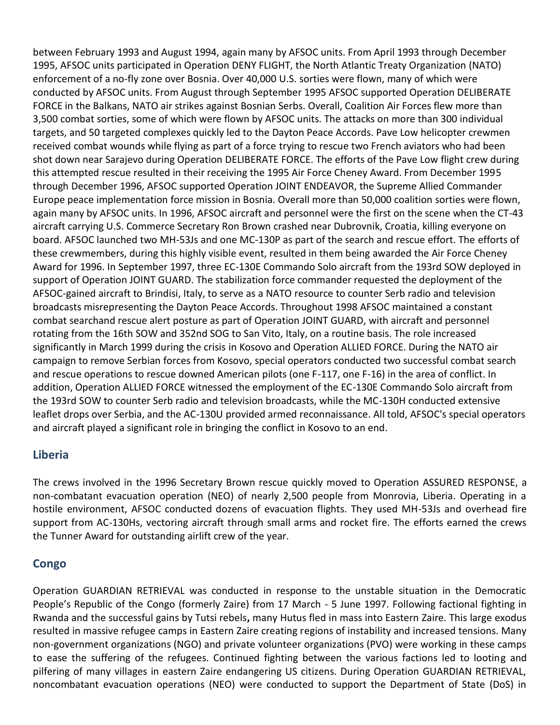between February 1993 and August 1994, again many by AFSOC units. From April 1993 through December 1995, AFSOC units participated in Operation DENY FLIGHT, the North Atlantic Treaty Organization (NATO) enforcement of a no-fly zone over Bosnia. Over 40,000 U.S. sorties were flown, many of which were conducted by AFSOC units. From August through September 1995 AFSOC supported Operation DELIBERATE FORCE in the Balkans, NATO air strikes against Bosnian Serbs. Overall, Coalition Air Forces flew more than 3,500 combat sorties, some of which were flown by AFSOC units. The attacks on more than 300 individual targets, and 50 targeted complexes quickly led to the Dayton Peace Accords. Pave Low helicopter crewmen received combat wounds while flying as part of a force trying to rescue two French aviators who had been shot down near Sarajevo during Operation DELIBERATE FORCE. The efforts of the Pave Low flight crew during this attempted rescue resulted in their receiving the 1995 Air Force Cheney Award. From December 1995 through December 1996, AFSOC supported Operation JOINT ENDEAVOR, the Supreme Allied Commander Europe peace implementation force mission in Bosnia. Overall more than 50,000 coalition sorties were flown, again many by AFSOC units. In 1996, AFSOC aircraft and personnel were the first on the scene when the CT-43 aircraft carrying U.S. Commerce Secretary Ron Brown crashed near Dubrovnik, Croatia, killing everyone on board. AFSOC launched two MH-53Js and one MC-130P as part of the search and rescue effort. The efforts of these crewmembers, during this highly visible event, resulted in them being awarded the Air Force Cheney Award for 1996. In September 1997, three EC-130E Commando Solo aircraft from the 193rd SOW deployed in support of Operation JOINT GUARD. The stabilization force commander requested the deployment of the AFSOC-gained aircraft to Brindisi, Italy, to serve as a NATO resource to counter Serb radio and television broadcasts misrepresenting the Dayton Peace Accords. Throughout 1998 AFSOC maintained a constant combat searchand rescue alert posture as part of Operation JOINT GUARD, with aircraft and personnel rotating from the 16th SOW and 352nd SOG to San Vito, Italy, on a routine basis. The role increased significantly in March 1999 during the crisis in Kosovo and Operation ALLIED FORCE. During the NATO air campaign to remove Serbian forces from Kosovo, special operators conducted two successful combat search and rescue operations to rescue downed American pilots (one F-117, one F-16) in the area of conflict. In addition, Operation ALLIED FORCE witnessed the employment of the EC-130E Commando Solo aircraft from the 193rd SOW to counter Serb radio and television broadcasts, while the MC-130H conducted extensive leaflet drops over Serbia, and the AC-130U provided armed reconnaissance. All told, AFSOC's special operators and aircraft played a significant role in bringing the conflict in Kosovo to an end.

# **Liberia**

The crews involved in the 1996 Secretary Brown rescue quickly moved to Operation ASSURED RESPONSE, a non-combatant evacuation operation (NEO) of nearly 2,500 people from Monrovia, Liberia. Operating in a hostile environment, AFSOC conducted dozens of evacuation flights. They used MH-53Js and overhead fire support from AC-130Hs, vectoring aircraft through small arms and rocket fire. The efforts earned the crews the Tunner Award for outstanding airlift crew of the year.

# **Congo**

Operation GUARDIAN RETRIEVAL was conducted in response to the unstable situation in the Democratic People's Republic of the Congo (formerly Zaire) from 17 March - 5 June 1997. Following factional fighting in Rwanda and the successful gains by Tutsi rebels**,** many Hutus fled in mass into Eastern Zaire. This large exodus resulted in massive refugee camps in Eastern Zaire creating regions of instability and increased tensions. Many non-government organizations (NGO) and private volunteer organizations (PVO) were working in these camps to ease the suffering of the refugees. Continued fighting between the various factions led to looting and pilfering of many villages in eastern Zaire endangering US citizens. During Operation GUARDIAN RETRIEVAL, noncombatant evacuation operations (NEO) were conducted to support the Department of State (DoS) in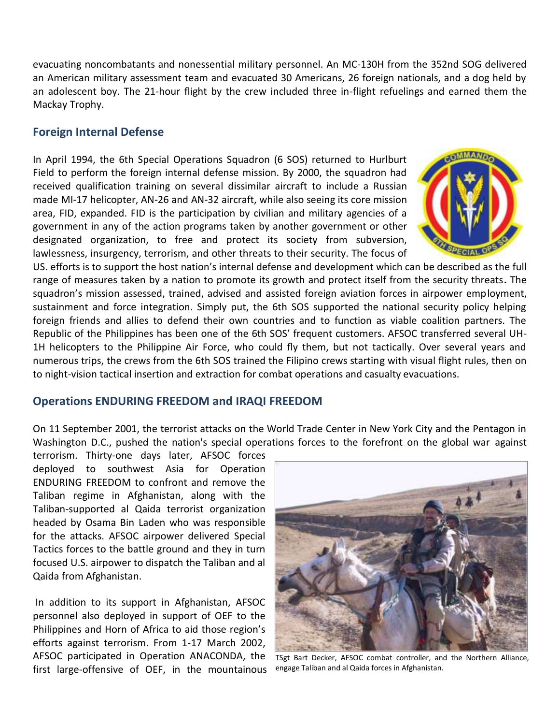evacuating noncombatants and nonessential military personnel. An MC-130H from the 352nd SOG delivered an American military assessment team and evacuated 30 Americans, 26 foreign nationals, and a dog held by an adolescent boy. The 21-hour flight by the crew included three in-flight refuelings and earned them the Mackay Trophy.

#### **Foreign Internal Defense**

In April 1994, the 6th Special Operations Squadron (6 SOS) returned to Hurlburt Field to perform the foreign internal defense mission. By 2000, the squadron had received qualification training on several dissimilar aircraft to include a Russian made MI-17 helicopter, AN-26 and AN-32 aircraft, while also seeing its core mission area, FID, expanded. FID is the participation by civilian and military agencies of a government in any of the action programs taken by another government or other designated organization, to free and protect its society from subversion, lawlessness, insurgency, terrorism, and other threats to their security. The focus of



US. efforts is to support the host nation's internal defense and development which can be described as the full range of measures taken by a nation to promote its growth and protect itself from the security threats**.** The squadron's mission assessed, trained, advised and assisted foreign aviation forces in airpower employment, sustainment and force integration. Simply put, the 6th SOS supported the national security policy helping foreign friends and allies to defend their own countries and to function as viable coalition partners. The Republic of the Philippines has been one of the 6th SOS' frequent customers. AFSOC transferred several UH-1H helicopters to the Philippine Air Force, who could fly them, but not tactically. Over several years and numerous trips, the crews from the 6th SOS trained the Filipino crews starting with visual flight rules, then on to night-vision tactical insertion and extraction for combat operations and casualty evacuations.

#### **Operations ENDURING FREEDOM and IRAQI FREEDOM**

On 11 September 2001, the terrorist attacks on the World Trade Center in New York City and the Pentagon in Washington D.C., pushed the nation's special operations forces to the forefront on the global war against

terrorism. Thirty-one days later, AFSOC forces deployed to southwest Asia for Operation ENDURING FREEDOM to confront and remove the Taliban regime in Afghanistan, along with the Taliban-supported al Qaida terrorist organization headed by Osama Bin Laden who was responsible for the attacks. AFSOC airpower delivered Special Tactics forces to the battle ground and they in turn focused U.S. airpower to dispatch the Taliban and al Qaida from Afghanistan.

In addition to its support in Afghanistan, AFSOC personnel also deployed in support of OEF to the Philippines and Horn of Africa to aid those region's efforts against terrorism. From 1-17 March 2002, AFSOC participated in Operation ANACONDA, the first large-offensive of OEF, in the mountainous



TSgt Bart Decker, AFSOC combat controller, and the Northern Alliance, engage Taliban and al Qaida forces in Afghanistan.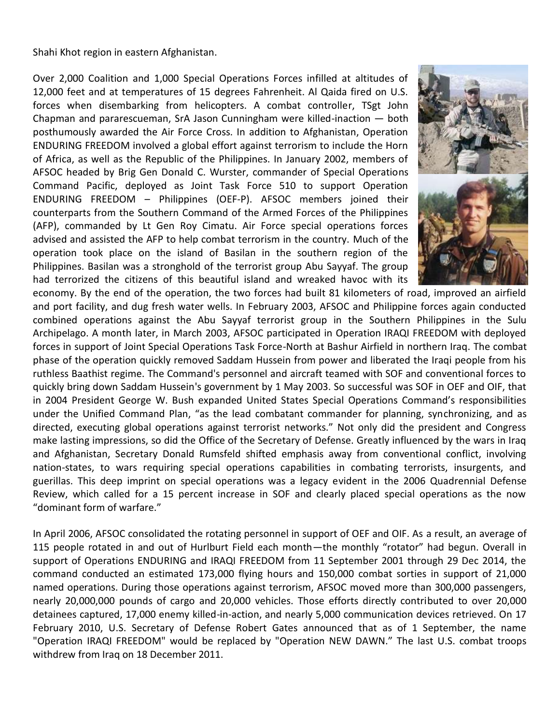Shahi Khot region in eastern Afghanistan.

Over 2,000 Coalition and 1,000 Special Operations Forces infilled at altitudes of 12,000 feet and at temperatures of 15 degrees Fahrenheit. Al Qaida fired on U.S. forces when disembarking from helicopters. A combat controller, TSgt John Chapman and pararescueman, SrA Jason Cunningham were killed-inaction — both posthumously awarded the Air Force Cross. In addition to Afghanistan, Operation ENDURING FREEDOM involved a global effort against terrorism to include the Horn of Africa, as well as the Republic of the Philippines. In January 2002, members of AFSOC headed by Brig Gen Donald C. Wurster, commander of Special Operations Command Pacific, deployed as Joint Task Force 510 to support Operation ENDURING FREEDOM – Philippines (OEF-P). AFSOC members joined their counterparts from the Southern Command of the Armed Forces of the Philippines (AFP), commanded by Lt Gen Roy Cimatu. Air Force special operations forces advised and assisted the AFP to help combat terrorism in the country. Much of the operation took place on the island of Basilan in the southern region of the Philippines. Basilan was a stronghold of the terrorist group Abu Sayyaf. The group had terrorized the citizens of this beautiful island and wreaked havoc with its



economy. By the end of the operation, the two forces had built 81 kilometers of road, improved an airfield and port facility, and dug fresh water wells. In February 2003, AFSOC and Philippine forces again conducted combined operations against the Abu Sayyaf terrorist group in the Southern Philippines in the Sulu Archipelago. A month later, in March 2003, AFSOC participated in Operation IRAQI FREEDOM with deployed forces in support of Joint Special Operations Task Force-North at Bashur Airfield in northern Iraq. The combat phase of the operation quickly removed Saddam Hussein from power and liberated the Iraqi people from his ruthless Baathist regime. The Command's personnel and aircraft teamed with SOF and conventional forces to quickly bring down Saddam Hussein's government by 1 May 2003. So successful was SOF in OEF and OIF, that in 2004 President George W. Bush expanded United States Special Operations Command's responsibilities under the Unified Command Plan, "as the lead combatant commander for planning, synchronizing, and as directed, executing global operations against terrorist networks." Not only did the president and Congress make lasting impressions, so did the Office of the Secretary of Defense. Greatly influenced by the wars in Iraq and Afghanistan, Secretary Donald Rumsfeld shifted emphasis away from conventional conflict, involving nation-states, to wars requiring special operations capabilities in combating terrorists, insurgents, and guerillas. This deep imprint on special operations was a legacy evident in the 2006 Quadrennial Defense Review, which called for a 15 percent increase in SOF and clearly placed special operations as the now "dominant form of warfare."

In April 2006, AFSOC consolidated the rotating personnel in support of OEF and OIF. As a result, an average of 115 people rotated in and out of Hurlburt Field each month—the monthly "rotator" had begun. Overall in support of Operations ENDURING and IRAQI FREEDOM from 11 September 2001 through 29 Dec 2014, the command conducted an estimated 173,000 flying hours and 150,000 combat sorties in support of 21,000 named operations. During those operations against terrorism, AFSOC moved more than 300,000 passengers, nearly 20,000,000 pounds of cargo and 20,000 vehicles. Those efforts directly contributed to over 20,000 detainees captured, 17,000 enemy killed-in-action, and nearly 5,000 communication devices retrieved. On 17 February 2010, U.S. Secretary of Defense Robert Gates announced that as of 1 September, the name "Operation IRAQI FREEDOM" would be replaced by "Operation NEW DAWN." The last U.S. combat troops withdrew from Iraq on 18 December 2011.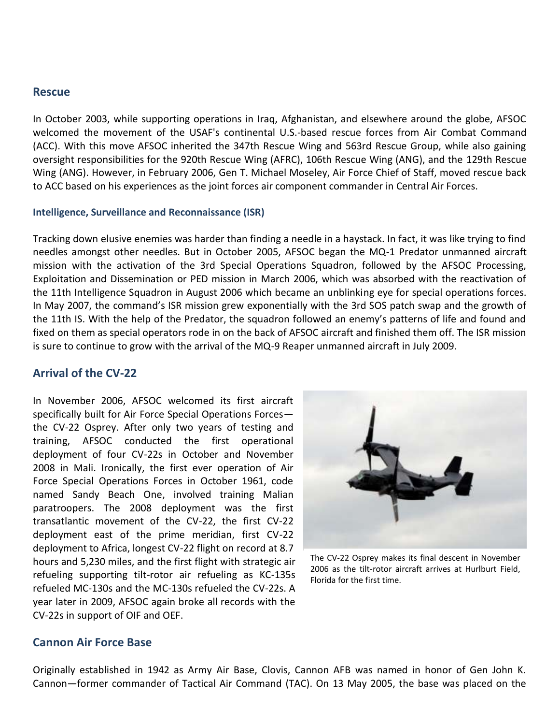#### **Rescue**

In October 2003, while supporting operations in Iraq, Afghanistan, and elsewhere around the globe, AFSOC welcomed the movement of the USAF's continental U.S.-based rescue forces from Air Combat Command (ACC). With this move AFSOC inherited the 347th Rescue Wing and 563rd Rescue Group, while also gaining oversight responsibilities for the 920th Rescue Wing (AFRC), 106th Rescue Wing (ANG), and the 129th Rescue Wing (ANG). However, in February 2006, Gen T. Michael Moseley, Air Force Chief of Staff, moved rescue back to ACC based on his experiences as the joint forces air component commander in Central Air Forces.

#### **Intelligence, Surveillance and Reconnaissance (ISR)**

Tracking down elusive enemies was harder than finding a needle in a haystack. In fact, it was like trying to find needles amongst other needles. But in October 2005, AFSOC began the MQ-1 Predator unmanned aircraft mission with the activation of the 3rd Special Operations Squadron, followed by the AFSOC Processing, Exploitation and Dissemination or PED mission in March 2006, which was absorbed with the reactivation of the 11th Intelligence Squadron in August 2006 which became an unblinking eye for special operations forces. In May 2007, the command's ISR mission grew exponentially with the 3rd SOS patch swap and the growth of the 11th IS. With the help of the Predator, the squadron followed an enemy's patterns of life and found and fixed on them as special operators rode in on the back of AFSOC aircraft and finished them off. The ISR mission is sure to continue to grow with the arrival of the MQ-9 Reaper unmanned aircraft in July 2009.

#### **Arrival of the CV-22**

In November 2006, AFSOC welcomed its first aircraft specifically built for Air Force Special Operations Forces the CV-22 Osprey. After only two years of testing and training, AFSOC conducted the first operational deployment of four CV-22s in October and November 2008 in Mali. Ironically, the first ever operation of Air Force Special Operations Forces in October 1961, code named Sandy Beach One, involved training Malian paratroopers. The 2008 deployment was the first transatlantic movement of the CV-22, the first CV-22 deployment east of the prime meridian, first CV-22 deployment to Africa, longest CV-22 flight on record at 8.7 hours and 5,230 miles, and the first flight with strategic air refueling supporting tilt-rotor air refueling as KC-135s refueled MC-130s and the MC-130s refueled the CV-22s. A year later in 2009, AFSOC again broke all records with the CV-22s in support of OIF and OEF.



The CV-22 Osprey makes its final descent in November 2006 as the tilt-rotor aircraft arrives at Hurlburt Field, Florida for the first time.

#### **Cannon Air Force Base**

Originally established in 1942 as Army Air Base, Clovis, Cannon AFB was named in honor of Gen John K. Cannon—former commander of Tactical Air Command (TAC). On 13 May 2005, the base was placed on the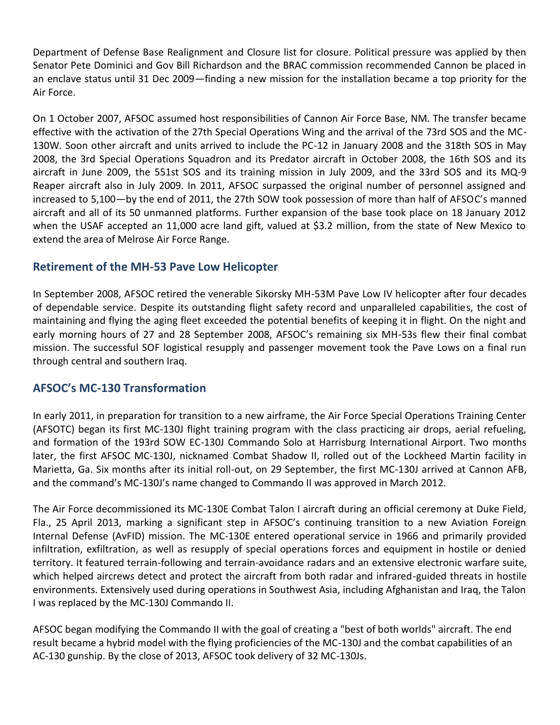Department of Defense Base Realignment and Closure list for closure. Political pressure was applied by then Senator Pete Dominici and Gov Bill Richardson and the BRAC commission recommended Cannon be placed in an enclave status until 31 Dec 2009—finding a new mission for the installation became a top priority for the Air Force.

On 1 October 2007, AFSOC assumed host responsibilities of Cannon Air Force Base, NM. The transfer became effective with the activation of the 27th Special Operations Wing and the arrival of the 73rd SOS and the MC-130W. Soon other aircraft and units arrived to include the PC-12 in January 2008 and the 318th SOS in May 2008, the 3rd Special Operations Squadron and its Predator aircraft in October 2008, the 16th SOS and its aircraft in June 2009, the 551st SOS and its training mission in July 2009, and the 33rd SOS and its MQ-9 Reaper aircraft also in July 2009. In 2011, AFSOC surpassed the original number of personnel assigned and increased to 5,100—by the end of 2011, the 27th SOW took possession of more than half of AFSOC's manned aircraft and all of its 50 unmanned platforms. Further expansion of the base took place on 18 January 2012 when the USAF accepted an 11,000 acre land gift, valued at \$3.2 million, from the state of New Mexico to extend the area of Melrose Air Force Range.

# **Retirement of the MH-53 Pave Low Helicopter**

In September 2008, AFSOC retired the venerable Sikorsky MH-53M Pave Low IV helicopter after four decades of dependable service. Despite its outstanding flight safety record and unparalleled capabilities, the cost of maintaining and flying the aging fleet exceeded the potential benefits of keeping it in flight. On the night and early morning hours of 27 and 28 September 2008, AFSOC's remaining six MH-53s flew their final combat mission. The successful SOF logistical resupply and passenger movement took the Pave Lows on a final run through central and southern Iraq.

# **AFSOC's MC-130 Transformation**

In early 2011, in preparation for transition to a new airframe, the Air Force Special Operations Training Center (AFSOTC) began its first MC-130J flight training program with the class practicing air drops, aerial refueling, and formation of the 193rd SOW EC-130J Commando Solo at Harrisburg International Airport. Two months later, the first AFSOC MC-130J, nicknamed Combat Shadow II, rolled out of the Lockheed Martin facility in Marietta, Ga. Six months after its initial roll-out, on 29 September, the first MC-130J arrived at Cannon AFB, and the command's MC-130J's name changed to Commando II was approved in March 2012.

The Air Force decommissioned its MC-130E Combat Talon I aircraft during an official ceremony at Duke Field, Fla., 25 April 2013, marking a significant step in AFSOC's continuing transition to a new Aviation Foreign Internal Defense (AvFID) mission. The MC-130E entered operational service in 1966 and primarily provided infiltration, exfiltration, as well as resupply of special operations forces and equipment in hostile or denied territory. It featured terrain-following and terrain-avoidance radars and an extensive electronic warfare suite, which helped aircrews detect and protect the aircraft from both radar and infrared-guided threats in hostile environments. Extensively used during operations in Southwest Asia, including Afghanistan and Iraq, the Talon I was replaced by the MC-130J Commando II.

AFSOC began modifying the Commando II with the goal of creating a "best of both worlds" aircraft. The end result became a hybrid model with the flying proficiencies of the MC-130J and the combat capabilities of an AC-130 gunship. By the close of 2013, AFSOC took delivery of 32 MC-130Js.